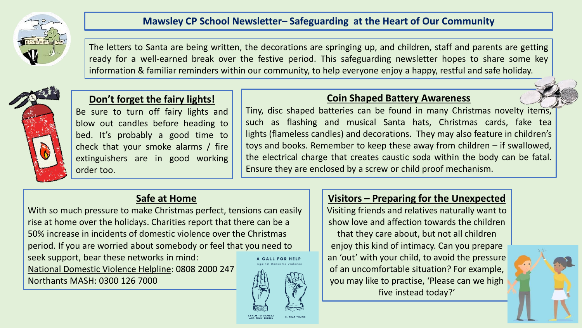

### **Mawsley CP School Newsletter– Safeguarding at the Heart of Our Community**

The letters to Santa are being written, the decorations are springing up, and children, staff and parents are getting ready for a well-earned break over the festive period. This safeguarding newsletter hopes to share some key information & familiar reminders within our community, to help everyone enjoy a happy, restful and safe holiday.



### **Don't forget the fairy lights!**

Be sure to turn off fairy lights and blow out candles before heading to bed. It's probably a good time to check that your smoke alarms / fire extinguishers are in good working order too.

#### **Coin Shaped Battery Awareness**

Tiny, disc shaped batteries can be found in many Christmas novelty items, such as flashing and musical Santa hats, Christmas cards, fake tea lights (flameless candles) and decorations. They may also feature in children's toys and books. Remember to keep these away from children – if swallowed, the electrical charge that creates caustic soda within the body can be fatal. Ensure they are enclosed by a screw or child proof mechanism.

# **Safe at Home**

With so much pressure to make Christmas perfect, tensions can easily rise at home over the holidays. Charities report that there can be a 50% increase in incidents of domestic violence over the Christmas period. If you are worried about somebody or feel that you need to seek support, bear these networks in mind: A CALL FOR HELP National Domestic Violence Helpline: 0808 2000 247 Northants MASH: 0300 126 7000

# **Visitors – Preparing for the Unexpected**

Visiting friends and relatives naturally want to show love and affection towards the children

that they care about, but not all children enjoy this kind of intimacy. Can you prepare an 'out' with your child, to avoid the pressure of an uncomfortable situation? For example, you may like to practise, 'Please can we high five instead today?'